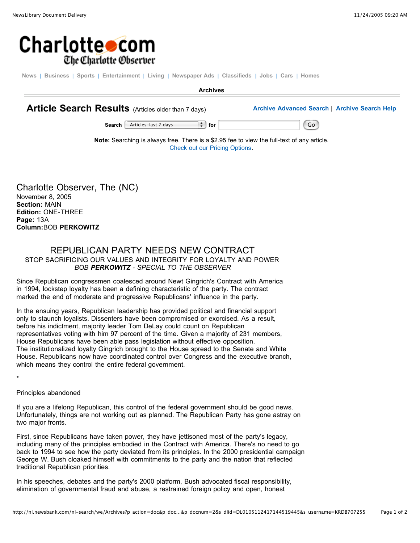

News | Business | Sports | Entertainment | Living | Newspaper Ads | Classifieds | Jobs | Cars | Homes

**Archives**

**Article Search Results** (Articles older than <sup>7</sup> days) **Archive Advanced Search** <sup>|</sup> **Archive Search Help**

**Search** Articles-last 7 days **for for** Go

**Note:** Searching is always free. There is a \$2.95 fee to view the full-text of any article. Check out our Pricing Options.

Charlotte Observer, The (NC) November 8, 2005 **Section:** MAIN **Edition:** ONE-THREE **Page:** 13A **Column:**BOB **PERKOWITZ**

## REPUBLICAN PARTY NEEDS NEW CONTRACT STOP SACRIFICING OUR VALUES AND INTEGRITY FOR LOYALTY AND POWER *BOB PERKOWITZ - SPECIAL TO THE OBSERVER*

Since Republican congressmen coalesced around Newt Gingrich's Contract with America in 1994, lockstep loyalty has been a defining characteristic of the party. The contract marked the end of moderate and progressive Republicans' influence in the party.

In the ensuing years, Republican leadership has provided political and financial support only to staunch loyalists. Dissenters have been compromised or exorcised. As a result, before his indictment, majority leader Tom DeLay could count on Republican representatives voting with him 97 percent of the time. Given a majority of 231 members, House Republicans have been able pass legislation without effective opposition. The institutionalized loyalty Gingrich brought to the House spread to the Senate and White House. Republicans now have coordinated control over Congress and the executive branch, which means they control the entire federal government.

\*

Principles abandoned

If you are a lifelong Republican, this control of the federal government should be good news. Unfortunately, things are not working out as planned. The Republican Party has gone astray on two major fronts.

First, since Republicans have taken power, they have jettisoned most of the party's legacy, including many of the principles embodied in the Contract with America. There's no need to go back to 1994 to see how the party deviated from its principles. In the 2000 presidential campaign George W. Bush cloaked himself with commitments to the party and the nation that reflected traditional Republican priorities.

In his speeches, debates and the party's 2000 platform, Bush advocated fiscal responsibility, elimination of governmental fraud and abuse, a restrained foreign policy and open, honest